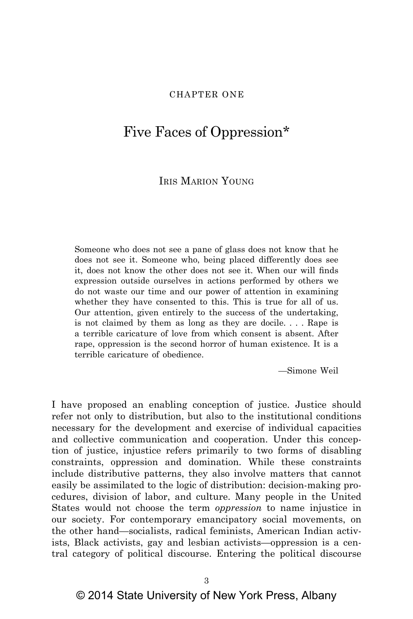#### CHAPTER ONE

# Five Faces of Oppression\*

# IRIS MARION YOUNG

Someone who does not see a pane of glass does not know that he does not see it. Someone who, being placed differently does see it, does not know the other does not see it. When our will finds expression outside ourselves in actions performed by others we do not waste our time and our power of attention in examining whether they have consented to this. This is true for all of us. Our attention, given entirely to the success of the undertaking, is not claimed by them as long as they are docile. . . . Rape is a terrible caricature of love from which consent is absent. After rape, oppression is the second horror of human existence. It is a terrible caricature of obedience.

—Simone Weil

I have proposed an enabling conception of justice. Justice should refer not only to distribution, but also to the institutional conditions necessary for the development and exercise of individual capacities and collective communication and cooperation. Under this conception of justice, injustice refers primarily to two forms of disabling constraints, oppression and domination. While these constraints include distributive patterns, they also involve matters that cannot easily be assimilated to the logic of distribution: decision-making procedures, division of labor, and culture. Many people in the United States would not choose the term *oppression* to name injustice in our society. For contemporary emancipatory social movements, on the other hand—socialists, radical feminists, American Indian activists, Black activists, gay and lesbian activists—oppression is a central category of political discourse. Entering the political discourse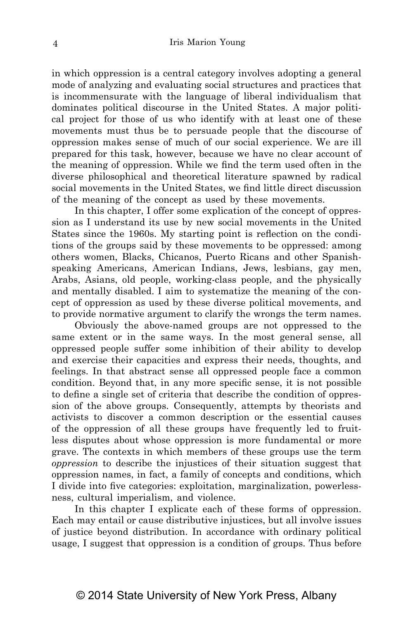in which oppression is a central category involves adopting a general mode of analyzing and evaluating social structures and practices that is incommensurate with the language of liberal individualism that dominates political discourse in the United States. A major political project for those of us who identify with at least one of these movements must thus be to persuade people that the discourse of oppression makes sense of much of our social experience. We are ill prepared for this task, however, because we have no clear account of the meaning of oppression. While we find the term used often in the diverse philosophical and theoretical literature spawned by radical social movements in the United States, we find little direct discussion of the meaning of the concept as used by these movements.

In this chapter, I offer some explication of the concept of oppression as I understand its use by new social movements in the United States since the 1960s. My starting point is reflection on the conditions of the groups said by these movements to be oppressed: among others women, Blacks, Chicanos, Puerto Ricans and other Spanishspeaking Americans, American Indians, Jews, lesbians, gay men, Arabs, Asians, old people, working-class people, and the physically and mentally disabled. I aim to systematize the meaning of the concept of oppression as used by these diverse political movements, and to provide normative argument to clarify the wrongs the term names.

Obviously the above-named groups are not oppressed to the same extent or in the same ways. In the most general sense, all oppressed people suffer some inhibition of their ability to develop and exercise their capacities and express their needs, thoughts, and feelings. In that abstract sense all oppressed people face a common condition. Beyond that, in any more specific sense, it is not possible to define a single set of criteria that describe the condition of oppression of the above groups. Consequently, attempts by theorists and activists to discover a common description or the essential causes of the oppression of all these groups have frequently led to fruitless disputes about whose oppression is more fundamental or more grave. The contexts in which members of these groups use the term *oppression* to describe the injustices of their situation suggest that oppression names, in fact, a family of concepts and conditions, which I divide into five categories: exploitation, marginalization, powerlessness, cultural imperialism, and violence.

In this chapter I explicate each of these forms of oppression. Each may entail or cause distributive injustices, but all involve issues of justice beyond distribution. In accordance with ordinary political usage, I suggest that oppression is a condition of groups. Thus before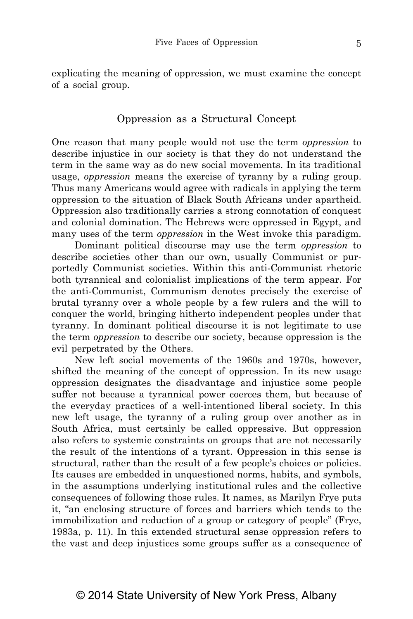explicating the meaning of oppression, we must examine the concept of a social group.

## Oppression as a Structural Concept

One reason that many people would not use the term *oppression* to describe injustice in our society is that they do not understand the term in the same way as do new social movements. In its traditional usage, *oppression* means the exercise of tyranny by a ruling group. Thus many Americans would agree with radicals in applying the term oppression to the situation of Black South Africans under apartheid. Oppression also traditionally carries a strong connotation of conquest and colonial domination. The Hebrews were oppressed in Egypt, and many uses of the term *oppression* in the West invoke this paradigm.

Dominant political discourse may use the term *oppression* to describe societies other than our own, usually Communist or purportedly Communist societies. Within this anti-Communist rhetoric both tyrannical and colonialist implications of the term appear. For the anti-Communist, Communism denotes precisely the exercise of brutal tyranny over a whole people by a few rulers and the will to conquer the world, bringing hitherto independent peoples under that tyranny. In dominant political discourse it is not legitimate to use the term *oppression* to describe our society, because oppression is the evil perpetrated by the Others.

New left social movements of the 1960s and 1970s, however, shifted the meaning of the concept of oppression. In its new usage oppression designates the disadvantage and injustice some people suffer not because a tyrannical power coerces them, but because of the everyday practices of a well-intentioned liberal society. In this new left usage, the tyranny of a ruling group over another as in South Africa, must certainly be called oppressive. But oppression also refers to systemic constraints on groups that are not necessarily the result of the intentions of a tyrant. Oppression in this sense is structural, rather than the result of a few people's choices or policies. Its causes are embedded in unquestioned norms, habits, and symbols, in the assumptions underlying institutional rules and the collective consequences of following those rules. It names, as Marilyn Frye puts it, "an enclosing structure of forces and barriers which tends to the immobilization and reduction of a group or category of people" (Frye, 1983a, p. 11). In this extended structural sense oppression refers to the vast and deep injustices some groups suffer as a consequence of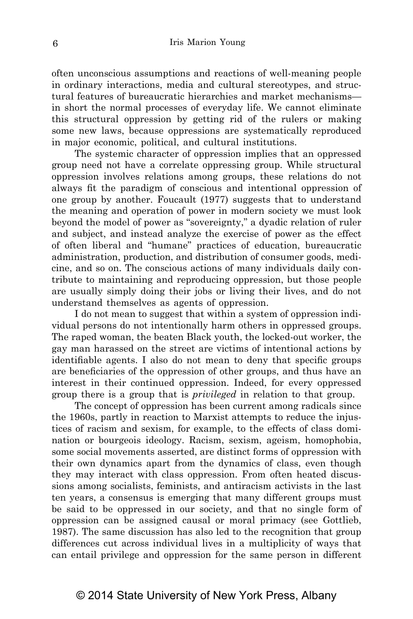often unconscious assumptions and reactions of well-meaning people in ordinary interactions, media and cultural stereotypes, and structural features of bureaucratic hierarchies and market mechanisms in short the normal processes of everyday life. We cannot eliminate this structural oppression by getting rid of the rulers or making some new laws, because oppressions are systematically reproduced in major economic, political, and cultural institutions.

The systemic character of oppression implies that an oppressed group need not have a correlate oppressing group. While structural oppression involves relations among groups, these relations do not always fit the paradigm of conscious and intentional oppression of one group by another. Foucault (1977) suggests that to understand the meaning and operation of power in modern society we must look beyond the model of power as "sovereignty," a dyadic relation of ruler and subject, and instead analyze the exercise of power as the effect of often liberal and "humane" practices of education, bureaucratic administration, production, and distribution of consumer goods, medicine, and so on. The conscious actions of many individuals daily contribute to maintaining and reproducing oppression, but those people are usually simply doing their jobs or living their lives, and do not understand themselves as agents of oppression.

I do not mean to suggest that within a system of oppression individual persons do not intentionally harm others in oppressed groups. The raped woman, the beaten Black youth, the locked-out worker, the gay man harassed on the street are victims of intentional actions by identifiable agents. I also do not mean to deny that specific groups are beneficiaries of the oppression of other groups, and thus have an interest in their continued oppression. Indeed, for every oppressed group there is a group that is *privileged* in relation to that group.

The concept of oppression has been current among radicals since the 1960s, partly in reaction to Marxist attempts to reduce the injustices of racism and sexism, for example, to the effects of class domination or bourgeois ideology. Racism, sexism, ageism, homophobia, some social movements asserted, are distinct forms of oppression with their own dynamics apart from the dynamics of class, even though they may interact with class oppression. From often heated discussions among socialists, feminists, and antiracism activists in the last ten years, a consensus is emerging that many different groups must be said to be oppressed in our society, and that no single form of oppression can be assigned causal or moral primacy (see Gottlieb, 1987). The same discussion has also led to the recognition that group differences cut across individual lives in a multiplicity of ways that can entail privilege and oppression for the same person in different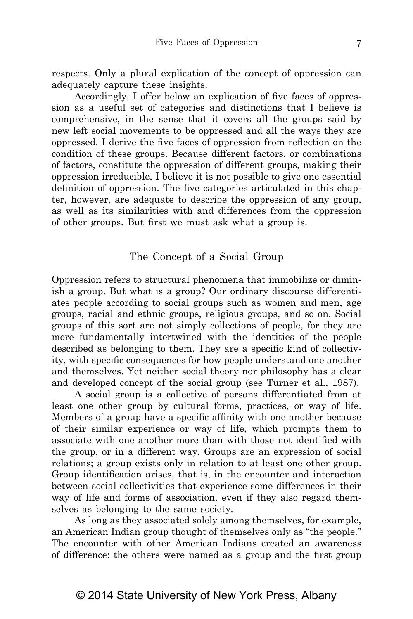respects. Only a plural explication of the concept of oppression can adequately capture these insights.

Accordingly, I offer below an explication of five faces of oppression as a useful set of categories and distinctions that I believe is comprehensive, in the sense that it covers all the groups said by new left social movements to be oppressed and all the ways they are oppressed. I derive the five faces of oppression from reflection on the condition of these groups. Because different factors, or combinations of factors, constitute the oppression of different groups, making their oppression irreducible, I believe it is not possible to give one essential definition of oppression. The five categories articulated in this chapter, however, are adequate to describe the oppression of any group, as well as its similarities with and differences from the oppression of other groups. But first we must ask what a group is.

## The Concept of a Social Group

Oppression refers to structural phenomena that immobilize or diminish a group. But what is a group? Our ordinary discourse differentiates people according to social groups such as women and men, age groups, racial and ethnic groups, religious groups, and so on. Social groups of this sort are not simply collections of people, for they are more fundamentally intertwined with the identities of the people described as belonging to them. They are a specific kind of collectivity, with specific consequences for how people understand one another and themselves. Yet neither social theory nor philosophy has a clear and developed concept of the social group (see Turner et al., 1987).

A social group is a collective of persons differentiated from at least one other group by cultural forms, practices, or way of life. Members of a group have a specific affinity with one another because of their similar experience or way of life, which prompts them to associate with one another more than with those not identified with the group, or in a different way. Groups are an expression of social relations; a group exists only in relation to at least one other group. Group identification arises, that is, in the encounter and interaction between social collectivities that experience some differences in their way of life and forms of association, even if they also regard themselves as belonging to the same society.

As long as they associated solely among themselves, for example, an American Indian group thought of themselves only as "the people." The encounter with other American Indians created an awareness of difference: the others were named as a group and the first group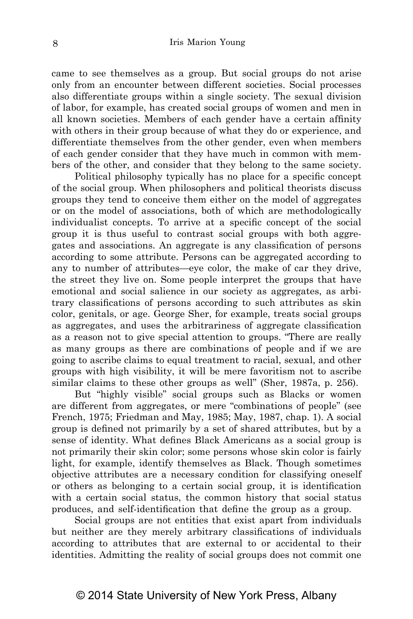came to see themselves as a group. But social groups do not arise only from an encounter between different societies. Social processes also differentiate groups within a single society. The sexual division of labor, for example, has created social groups of women and men in all known societies. Members of each gender have a certain affinity with others in their group because of what they do or experience, and differentiate themselves from the other gender, even when members of each gender consider that they have much in common with members of the other, and consider that they belong to the same society.

Political philosophy typically has no place for a specific concept of the social group. When philosophers and political theorists discuss groups they tend to conceive them either on the model of aggregates or on the model of associations, both of which are methodologically individualist concepts. To arrive at a specific concept of the social group it is thus useful to contrast social groups with both aggregates and associations. An aggregate is any classification of persons according to some attribute. Persons can be aggregated according to any to number of attributes—eye color, the make of car they drive, the street they live on. Some people interpret the groups that have emotional and social salience in our society as aggregates, as arbitrary classifications of persons according to such attributes as skin color, genitals, or age. George Sher, for example, treats social groups as aggregates, and uses the arbitrariness of aggregate classification as a reason not to give special attention to groups. "There are really as many groups as there are combinations of people and if we are going to ascribe claims to equal treatment to racial, sexual, and other groups with high visibility, it will be mere favoritism not to ascribe similar claims to these other groups as well" (Sher, 1987a, p. 256).

But "highly visible" social groups such as Blacks or women are different from aggregates, or mere "combinations of people" (see French, 1975; Friedman and May, 1985; May, 1987, chap. 1). A social group is defined not primarily by a set of shared attributes, but by a sense of identity. What defines Black Americans as a social group is not primarily their skin color; some persons whose skin color is fairly light, for example, identify themselves as Black. Though sometimes objective attributes are a necessary condition for classifying oneself or others as belonging to a certain social group, it is identification with a certain social status, the common history that social status produces, and self-identification that define the group as a group.

Social groups are not entities that exist apart from individuals but neither are they merely arbitrary classifications of individuals according to attributes that are external to or accidental to their identities. Admitting the reality of social groups does not commit one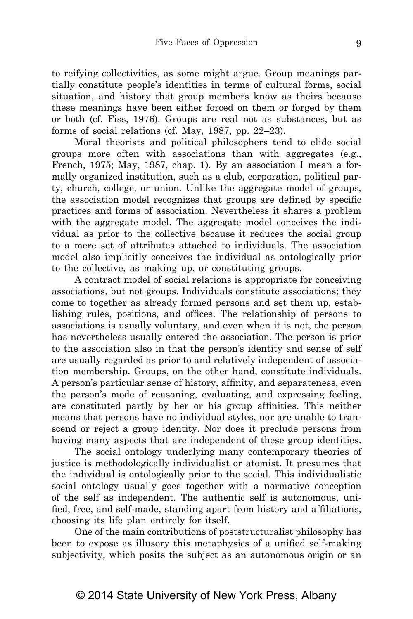to reifying collectivities, as some might argue. Group meanings partially constitute people's identities in terms of cultural forms, social situation, and history that group members know as theirs because these meanings have been either forced on them or forged by them or both (cf. Fiss, 1976). Groups are real not as substances, but as forms of social relations (cf. May, 1987, pp. 22–23).

Moral theorists and political philosophers tend to elide social groups more often with associations than with aggregates (e.g., French, 1975; May, 1987, chap. 1). By an association I mean a formally organized institution, such as a club, corporation, political party, church, college, or union. Unlike the aggregate model of groups, the association model recognizes that groups are defined by specific practices and forms of association. Nevertheless it shares a problem with the aggregate model. The aggregate model conceives the individual as prior to the collective because it reduces the social group to a mere set of attributes attached to individuals. The association model also implicitly conceives the individual as ontologically prior to the collective, as making up, or constituting groups.

A contract model of social relations is appropriate for conceiving associations, but not groups. Individuals constitute associations; they come to together as already formed persons and set them up, establishing rules, positions, and offices. The relationship of persons to associations is usually voluntary, and even when it is not, the person has nevertheless usually entered the association. The person is prior to the association also in that the person's identity and sense of self are usually regarded as prior to and relatively independent of association membership. Groups, on the other hand, constitute individuals. A person's particular sense of history, affinity, and separateness, even the person's mode of reasoning, evaluating, and expressing feeling, are constituted partly by her or his group affinities. This neither means that persons have no individual styles, nor are unable to transcend or reject a group identity. Nor does it preclude persons from having many aspects that are independent of these group identities.

The social ontology underlying many contemporary theories of justice is methodologically individualist or atomist. It presumes that the individual is ontologically prior to the social. This individualistic social ontology usually goes together with a normative conception of the self as independent. The authentic self is autonomous, unified, free, and self-made, standing apart from history and affiliations, choosing its life plan entirely for itself.

One of the main contributions of poststructuralist philosophy has been to expose as illusory this metaphysics of a unified self-making subjectivity, which posits the subject as an autonomous origin or an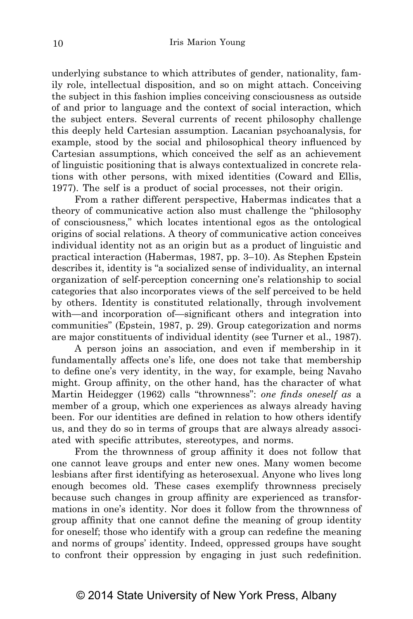underlying substance to which attributes of gender, nationality, family role, intellectual disposition, and so on might attach. Conceiving the subject in this fashion implies conceiving consciousness as outside of and prior to language and the context of social interaction, which the subject enters. Several currents of recent philosophy challenge this deeply held Cartesian assumption. Lacanian psychoanalysis, for example, stood by the social and philosophical theory influenced by Cartesian assumptions, which conceived the self as an achievement of linguistic positioning that is always contextualized in concrete relations with other persons, with mixed identities (Coward and Ellis, 1977). The self is a product of social processes, not their origin.

From a rather different perspective, Habermas indicates that a theory of communicative action also must challenge the "philosophy of consciousness," which locates intentional egos as the ontological origins of social relations. A theory of communicative action conceives individual identity not as an origin but as a product of linguistic and practical interaction (Habermas, 1987, pp. 3–10). As Stephen Epstein describes it, identity is "a socialized sense of individuality, an internal organization of self-perception concerning one's relationship to social categories that also incorporates views of the self perceived to be held by others. Identity is constituted relationally, through involvement with—and incorporation of—significant others and integration into communities" (Epstein, 1987, p. 29). Group categorization and norms are major constituents of individual identity (see Turner et al., 1987).

A person joins an association, and even if membership in it fundamentally affects one's life, one does not take that membership to define one's very identity, in the way, for example, being Navaho might. Group affinity, on the other hand, has the character of what Martin Heidegger (1962) calls "thrownness": *one finds oneself as* a member of a group, which one experiences as always already having been. For our identities are defined in relation to how others identify us, and they do so in terms of groups that are always already associated with specific attributes, stereotypes, and norms.

From the thrownness of group affinity it does not follow that one cannot leave groups and enter new ones. Many women become lesbians after first identifying as heterosexual. Anyone who lives long enough becomes old. These cases exemplify thrownness precisely because such changes in group affinity are experienced as transformations in one's identity. Nor does it follow from the thrownness of group affinity that one cannot define the meaning of group identity for oneself; those who identify with a group can redefine the meaning and norms of groups' identity. Indeed, oppressed groups have sought to confront their oppression by engaging in just such redefinition.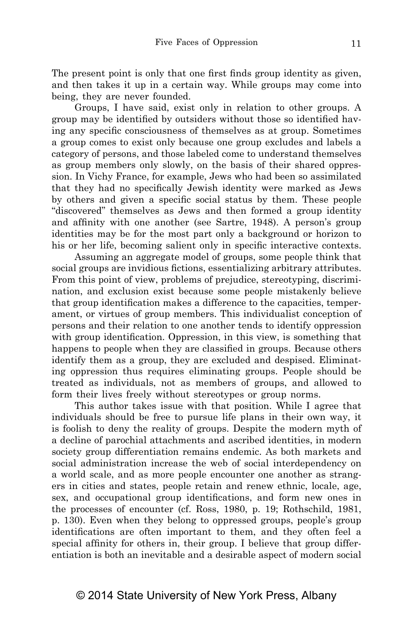The present point is only that one first finds group identity as given, and then takes it up in a certain way. While groups may come into being, they are never founded.

Groups, I have said, exist only in relation to other groups. A group may be identified by outsiders without those so identified having any specific consciousness of themselves as at group. Sometimes a group comes to exist only because one group excludes and labels a category of persons, and those labeled come to understand themselves as group members only slowly, on the basis of their shared oppression. In Vichy France, for example, Jews who had been so assimilated that they had no specifically Jewish identity were marked as Jews by others and given a specific social status by them. These people "discovered" themselves as Jews and then formed a group identity and affinity with one another (see Sartre, 1948). A person's group identities may be for the most part only a background or horizon to his or her life, becoming salient only in specific interactive contexts.

Assuming an aggregate model of groups, some people think that social groups are invidious fictions, essentializing arbitrary attributes. From this point of view, problems of prejudice, stereotyping, discrimination, and exclusion exist because some people mistakenly believe that group identification makes a difference to the capacities, temperament, or virtues of group members. This individualist conception of persons and their relation to one another tends to identify oppression with group identification. Oppression, in this view, is something that happens to people when they are classified in groups. Because others identify them as a group, they are excluded and despised. Eliminating oppression thus requires eliminating groups. People should be treated as individuals, not as members of groups, and allowed to form their lives freely without stereotypes or group norms.

This author takes issue with that position. While I agree that individuals should be free to pursue life plans in their own way, it is foolish to deny the reality of groups. Despite the modern myth of a decline of parochial attachments and ascribed identities, in modern society group differentiation remains endemic. As both markets and social administration increase the web of social interdependency on a world scale, and as more people encounter one another as strangers in cities and states, people retain and renew ethnic, locale, age, sex, and occupational group identifications, and form new ones in the processes of encounter (cf. Ross, 1980, p. 19; Rothschild, 1981, p. 130). Even when they belong to oppressed groups, people's group identifications are often important to them, and they often feel a special affinity for others in, their group. I believe that group differentiation is both an inevitable and a desirable aspect of modern social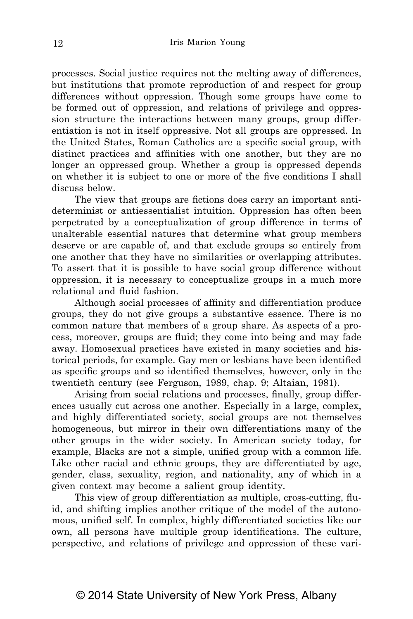processes. Social justice requires not the melting away of differences, but institutions that promote reproduction of and respect for group differences without oppression. Though some groups have come to be formed out of oppression, and relations of privilege and oppression structure the interactions between many groups, group differentiation is not in itself oppressive. Not all groups are oppressed. In the United States, Roman Catholics are a specific social group, with distinct practices and affinities with one another, but they are no longer an oppressed group. Whether a group is oppressed depends on whether it is subject to one or more of the five conditions I shall discuss below.

The view that groups are fictions does carry an important antideterminist or antiessentialist intuition. Oppression has often been perpetrated by a conceptualization of group difference in terms of unalterable essential natures that determine what group members deserve or are capable of, and that exclude groups so entirely from one another that they have no similarities or overlapping attributes. To assert that it is possible to have social group difference without oppression, it is necessary to conceptualize groups in a much more relational and fluid fashion.

Although social processes of affinity and differentiation produce groups, they do not give groups a substantive essence. There is no common nature that members of a group share. As aspects of a process, moreover, groups are fluid; they come into being and may fade away. Homosexual practices have existed in many societies and historical periods, for example. Gay men or lesbians have been identified as specific groups and so identified themselves, however, only in the twentieth century (see Ferguson, 1989, chap. 9; Altaian, 1981).

Arising from social relations and processes, finally, group differences usually cut across one another. Especially in a large, complex, and highly differentiated society, social groups are not themselves homogeneous, but mirror in their own differentiations many of the other groups in the wider society. In American society today, for example, Blacks are not a simple, unified group with a common life. Like other racial and ethnic groups, they are differentiated by age, gender, class, sexuality, region, and nationality, any of which in a given context may become a salient group identity.

This view of group differentiation as multiple, cross-cutting, fluid, and shifting implies another critique of the model of the autonomous, unified self. In complex, highly differentiated societies like our own, all persons have multiple group identifications. The culture, perspective, and relations of privilege and oppression of these vari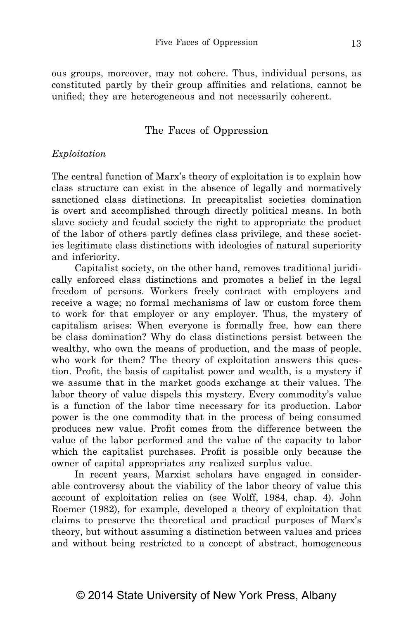ous groups, moreover, may not cohere. Thus, individual persons, as constituted partly by their group affinities and relations, cannot be unified; they are heterogeneous and not necessarily coherent.

# The Faces of Oppression

## *Exploitation*

The central function of Marx's theory of exploitation is to explain how class structure can exist in the absence of legally and normatively sanctioned class distinctions. In precapitalist societies domination is overt and accomplished through directly political means. In both slave society and feudal society the right to appropriate the product of the labor of others partly defines class privilege, and these societies legitimate class distinctions with ideologies of natural superiority and inferiority.

Capitalist society, on the other hand, removes traditional juridically enforced class distinctions and promotes a belief in the legal freedom of persons. Workers freely contract with employers and receive a wage; no formal mechanisms of law or custom force them to work for that employer or any employer. Thus, the mystery of capitalism arises: When everyone is formally free, how can there be class domination? Why do class distinctions persist between the wealthy, who own the means of production, and the mass of people, who work for them? The theory of exploitation answers this question. Profit, the basis of capitalist power and wealth, is a mystery if we assume that in the market goods exchange at their values. The labor theory of value dispels this mystery. Every commodity's value is a function of the labor time necessary for its production. Labor power is the one commodity that in the process of being consumed produces new value. Profit comes from the difference between the value of the labor performed and the value of the capacity to labor which the capitalist purchases. Profit is possible only because the owner of capital appropriates any realized surplus value.

In recent years, Marxist scholars have engaged in considerable controversy about the viability of the labor theory of value this account of exploitation relies on (see Wolff, 1984, chap. 4). John Roemer (1982), for example, developed a theory of exploitation that claims to preserve the theoretical and practical purposes of Marx's theory, but without assuming a distinction between values and prices and without being restricted to a concept of abstract, homogeneous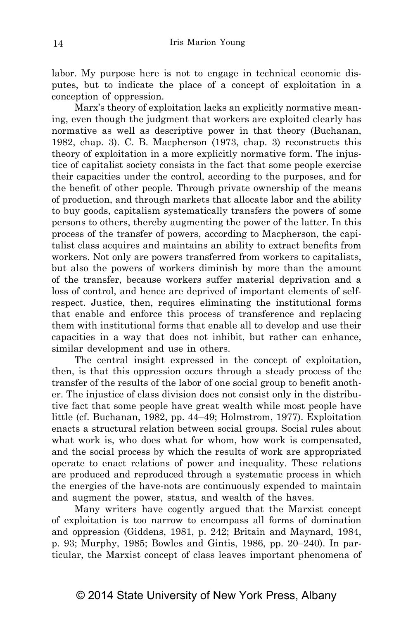labor. My purpose here is not to engage in technical economic disputes, but to indicate the place of a concept of exploitation in a conception of oppression.

Marx's theory of exploitation lacks an explicitly normative meaning, even though the judgment that workers are exploited clearly has normative as well as descriptive power in that theory (Buchanan, 1982, chap. 3). C. B. Macpherson (1973, chap. 3) reconstructs this theory of exploitation in a more explicitly normative form. The injustice of capitalist society consists in the fact that some people exercise their capacities under the control, according to the purposes, and for the benefit of other people. Through private ownership of the means of production, and through markets that allocate labor and the ability to buy goods, capitalism systematically transfers the powers of some persons to others, thereby augmenting the power of the latter. In this process of the transfer of powers, according to Macpherson, the capitalist class acquires and maintains an ability to extract benefits from workers. Not only are powers transferred from workers to capitalists, but also the powers of workers diminish by more than the amount of the transfer, because workers suffer material deprivation and a loss of control, and hence are deprived of important elements of selfrespect. Justice, then, requires eliminating the institutional forms that enable and enforce this process of transference and replacing them with institutional forms that enable all to develop and use their capacities in a way that does not inhibit, but rather can enhance, similar development and use in others.

The central insight expressed in the concept of exploitation, then, is that this oppression occurs through a steady process of the transfer of the results of the labor of one social group to benefit another. The injustice of class division does not consist only in the distributive fact that some people have great wealth while most people have little (cf. Buchanan, 1982, pp. 44–49; Holmstrom, 1977). Exploitation enacts a structural relation between social groups. Social rules about what work is, who does what for whom, how work is compensated, and the social process by which the results of work are appropriated operate to enact relations of power and inequality. These relations are produced and reproduced through a systematic process in which the energies of the have-nots are continuously expended to maintain and augment the power, status, and wealth of the haves.

Many writers have cogently argued that the Marxist concept of exploitation is too narrow to encompass all forms of domination and oppression (Giddens, 1981, p. 242; Britain and Maynard, 1984, p. 93; Murphy, 1985; Bowles and Gintis, 1986, pp. 20–240). In particular, the Marxist concept of class leaves important phenomena of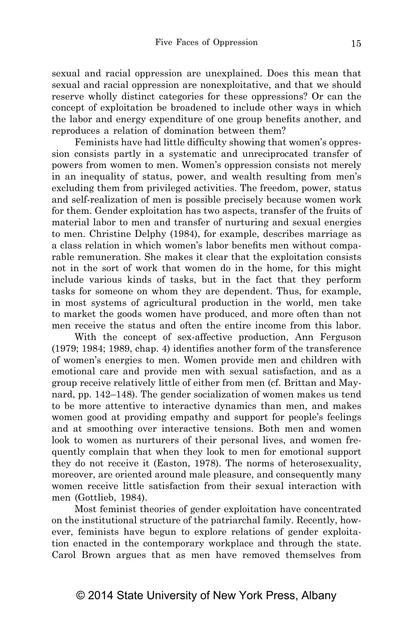sexual and racial oppression are unexplained. Does this mean that sexual and racial oppression are nonexploitative, and that we should reserve wholly distinct categories for these oppressions? Or can the concept of exploitation be broadened to include other ways in which the labor and energy expenditure of one group benefits another, and reproduces a relation of domination between them?

Feminists have had little difficulty showing that women's oppression consists partly in a systematic and unreciprocated transfer of powers from women to men. Women's oppression consists not merely in an inequality of status, power, and wealth resulting from men's excluding them from privileged activities. The freedom, power, status and self-realization of men is possible precisely because women work for them. Gender exploitation has two aspects, transfer of the fruits of material labor to men and transfer of nurturing and sexual energies to men. Christine Delphy (1984), for example, describes marriage as a class relation in which women's labor benefits men without comparable remuneration. She makes it clear that the exploitation consists not in the sort of work that women do in the home, for this might include various kinds of tasks, but in the fact that they perform tasks for someone on whom they are dependent. Thus, for example, in most systems of agricultural production in the world, men take to market the goods women have produced, and more often than not men receive the status and often the entire income from this labor.

With the concept of sex-affective production, Ann Ferguson (1979; 1984; 1989, chap. 4) identifies another form of the transference of women's energies to men. Women provide men and children with emotional care and provide men with sexual satisfaction, and as a group receive relatively little of either from men (cf. Brittan and Maynard, pp. 142–148). The gender socialization of women makes us tend to be more attentive to interactive dynamics than men, and makes women good at providing empathy and support for people's feelings and at smoothing over interactive tensions. Both men and women look to women as nurturers of their personal lives, and women frequently complain that when they look to men for emotional support they do not receive it (Easton, 1978). The norms of heterosexuality, moreover, are oriented around male pleasure, and consequently many women receive little satisfaction from their sexual interaction with men (Gottlieb, 1984).

Most feminist theories of gender exploitation have concentrated on the institutional structure of the patriarchal family. Recently, however, feminists have begun to explore relations of gender exploitation enacted in the contemporary workplace and through the state. Carol Brown argues that as men have removed themselves from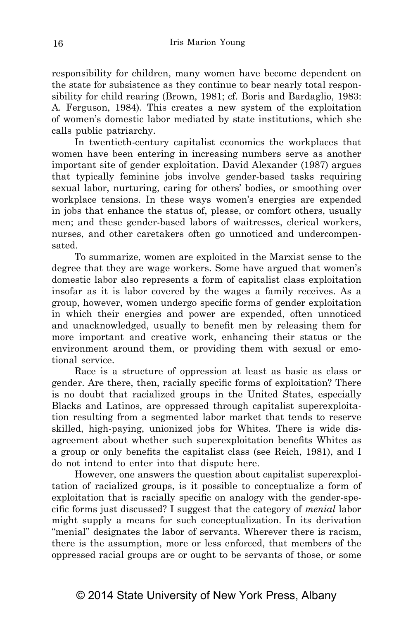responsibility for children, many women have become dependent on the state for subsistence as they continue to bear nearly total responsibility for child rearing (Brown, 1981; cf. Boris and Bardaglio, 1983: A. Ferguson, 1984). This creates a new system of the exploitation of women's domestic labor mediated by state institutions, which she calls public patriarchy.

In twentieth-century capitalist economics the workplaces that women have been entering in increasing numbers serve as another important site of gender exploitation. David Alexander (1987) argues that typically feminine jobs involve gender-based tasks requiring sexual labor, nurturing, caring for others' bodies, or smoothing over workplace tensions. In these ways women's energies are expended in jobs that enhance the status of, please, or comfort others, usually men; and these gender-based labors of waitresses, clerical workers, nurses, and other caretakers often go unnoticed and undercompensated.

To summarize, women are exploited in the Marxist sense to the degree that they are wage workers. Some have argued that women's domestic labor also represents a form of capitalist class exploitation insofar as it is labor covered by the wages a family receives. As a group, however, women undergo specific forms of gender exploitation in which their energies and power are expended, often unnoticed and unacknowledged, usually to benefit men by releasing them for more important and creative work, enhancing their status or the environment around them, or providing them with sexual or emotional service.

Race is a structure of oppression at least as basic as class or gender. Are there, then, racially specific forms of exploitation? There is no doubt that racialized groups in the United States, especially Blacks and Latinos, are oppressed through capitalist superexploitation resulting from a segmented labor market that tends to reserve skilled, high-paying, unionized jobs for Whites. There is wide disagreement about whether such superexploitation benefits Whites as a group or only benefits the capitalist class (see Reich, 1981), and I do not intend to enter into that dispute here.

However, one answers the question about capitalist superexploitation of racialized groups, is it possible to conceptualize a form of exploitation that is racially specific on analogy with the gender-specific forms just discussed? I suggest that the category of *menial* labor might supply a means for such conceptualization. In its derivation "menial" designates the labor of servants. Wherever there is racism, there is the assumption, more or less enforced, that members of the oppressed racial groups are or ought to be servants of those, or some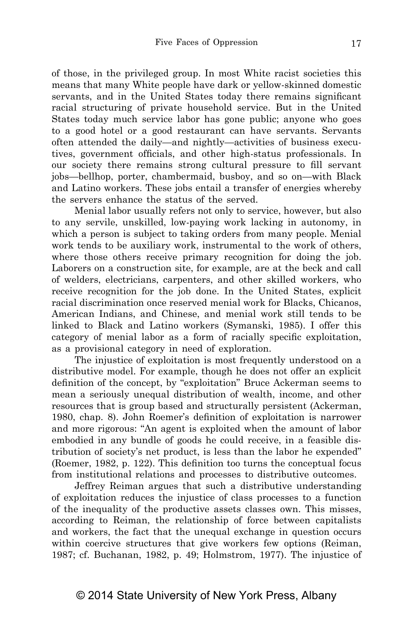of those, in the privileged group. In most White racist societies this means that many White people have dark or yellow-skinned domestic servants, and in the United States today there remains significant racial structuring of private household service. But in the United States today much service labor has gone public; anyone who goes to a good hotel or a good restaurant can have servants. Servants often attended the daily—and nightly—activities of business executives, government officials, and other high-status professionals. In our society there remains strong cultural pressure to fill servant jobs—bellhop, porter, chambermaid, busboy, and so on—with Black and Latino workers. These jobs entail a transfer of energies whereby the servers enhance the status of the served.

Menial labor usually refers not only to service, however, but also to any servile, unskilled, low-paying work lacking in autonomy, in which a person is subject to taking orders from many people. Menial work tends to be auxiliary work, instrumental to the work of others, where those others receive primary recognition for doing the job. Laborers on a construction site, for example, are at the beck and call of welders, electricians, carpenters, and other skilled workers, who receive recognition for the job done. In the United States, explicit racial discrimination once reserved menial work for Blacks, Chicanos, American Indians, and Chinese, and menial work still tends to be linked to Black and Latino workers (Symanski, 1985). I offer this category of menial labor as a form of racially specific exploitation, as a provisional category in need of exploration.

The injustice of exploitation is most frequently understood on a distributive model. For example, though he does not offer an explicit definition of the concept, by "exploitation" Bruce Ackerman seems to mean a seriously unequal distribution of wealth, income, and other resources that is group based and structurally persistent (Ackerman, 1980, chap. 8). John Roemer's definition of exploitation is narrower and more rigorous: "An agent is exploited when the amount of labor embodied in any bundle of goods he could receive, in a feasible distribution of society's net product, is less than the labor he expended" (Roemer, 1982, p. 122). This definition too turns the conceptual focus from institutional relations and processes to distributive outcomes.

Jeffrey Reiman argues that such a distributive understanding of exploitation reduces the injustice of class processes to a function of the inequality of the productive assets classes own. This misses, according to Reiman, the relationship of force between capitalists and workers, the fact that the unequal exchange in question occurs within coercive structures that give workers few options (Reiman, 1987; cf. Buchanan, 1982, p. 49; Holmstrom, 1977). The injustice of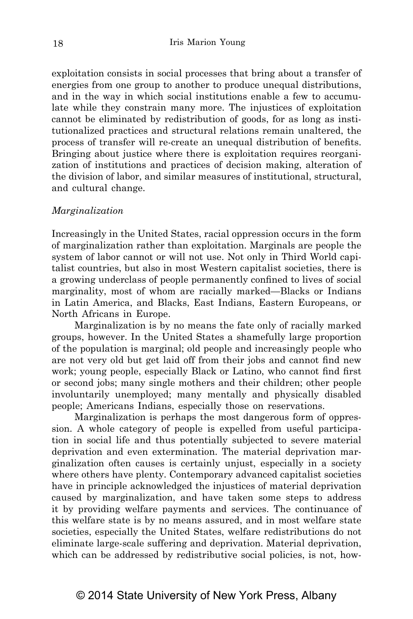exploitation consists in social processes that bring about a transfer of energies from one group to another to produce unequal distributions, and in the way in which social institutions enable a few to accumulate while they constrain many more. The injustices of exploitation cannot be eliminated by redistribution of goods, for as long as institutionalized practices and structural relations remain unaltered, the process of transfer will re-create an unequal distribution of benefits. Bringing about justice where there is exploitation requires reorganization of institutions and practices of decision making, alteration of the division of labor, and similar measures of institutional, structural, and cultural change.

#### *Marginalization*

Increasingly in the United States, racial oppression occurs in the form of marginalization rather than exploitation. Marginals are people the system of labor cannot or will not use. Not only in Third World capitalist countries, but also in most Western capitalist societies, there is a growing underclass of people permanently confined to lives of social marginality, most of whom are racially marked—Blacks or Indians in Latin America, and Blacks, East Indians, Eastern Europeans, or North Africans in Europe.

Marginalization is by no means the fate only of racially marked groups, however. In the United States a shamefully large proportion of the population is marginal; old people and increasingly people who are not very old but get laid off from their jobs and cannot find new work; young people, especially Black or Latino, who cannot find first or second jobs; many single mothers and their children; other people involuntarily unemployed; many mentally and physically disabled people; Americans Indians, especially those on reservations.

Marginalization is perhaps the most dangerous form of oppression. A whole category of people is expelled from useful participation in social life and thus potentially subjected to severe material deprivation and even extermination. The material deprivation marginalization often causes is certainly unjust, especially in a society where others have plenty. Contemporary advanced capitalist societies have in principle acknowledged the injustices of material deprivation caused by marginalization, and have taken some steps to address it by providing welfare payments and services. The continuance of this welfare state is by no means assured, and in most welfare state societies, especially the United States, welfare redistributions do not eliminate large-scale suffering and deprivation. Material deprivation, which can be addressed by redistributive social policies, is not, how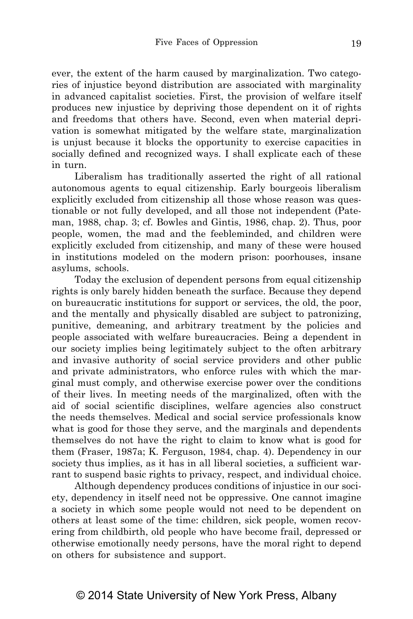ever, the extent of the harm caused by marginalization. Two categories of injustice beyond distribution are associated with marginality in advanced capitalist societies. First, the provision of welfare itself produces new injustice by depriving those dependent on it of rights and freedoms that others have. Second, even when material deprivation is somewhat mitigated by the welfare state, marginalization is unjust because it blocks the opportunity to exercise capacities in socially defined and recognized ways. I shall explicate each of these in turn.

Liberalism has traditionally asserted the right of all rational autonomous agents to equal citizenship. Early bourgeois liberalism explicitly excluded from citizenship all those whose reason was questionable or not fully developed, and all those not independent (Pateman, 1988, chap. 3; cf. Bowles and Gintis, 1986, chap. 2). Thus, poor people, women, the mad and the feebleminded, and children were explicitly excluded from citizenship, and many of these were housed in institutions modeled on the modern prison: poorhouses, insane asylums, schools.

Today the exclusion of dependent persons from equal citizenship rights is only barely hidden beneath the surface. Because they depend on bureaucratic institutions for support or services, the old, the poor, and the mentally and physically disabled are subject to patronizing, punitive, demeaning, and arbitrary treatment by the policies and people associated with welfare bureaucracies. Being a dependent in our society implies being legitimately subject to the often arbitrary and invasive authority of social service providers and other public and private administrators, who enforce rules with which the marginal must comply, and otherwise exercise power over the conditions of their lives. In meeting needs of the marginalized, often with the aid of social scientific disciplines, welfare agencies also construct the needs themselves. Medical and social service professionals know what is good for those they serve, and the marginals and dependents themselves do not have the right to claim to know what is good for them (Fraser, 1987a; K. Ferguson, 1984, chap. 4). Dependency in our society thus implies, as it has in all liberal societies, a sufficient warrant to suspend basic rights to privacy, respect, and individual choice.

Although dependency produces conditions of injustice in our society, dependency in itself need not be oppressive. One cannot imagine a society in which some people would not need to be dependent on others at least some of the time: children, sick people, women recovering from childbirth, old people who have become frail, depressed or otherwise emotionally needy persons, have the moral right to depend on others for subsistence and support.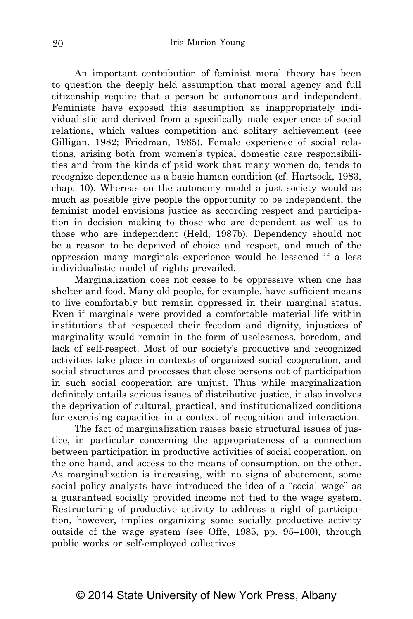An important contribution of feminist moral theory has been to question the deeply held assumption that moral agency and full citizenship require that a person be autonomous and independent. Feminists have exposed this assumption as inappropriately individualistic and derived from a specifically male experience of social relations, which values competition and solitary achievement (see Gilligan, 1982; Friedman, 1985). Female experience of social relations, arising both from women's typical domestic care responsibilities and from the kinds of paid work that many women do, tends to recognize dependence as a basic human condition (cf. Hartsock, 1983, chap. 10). Whereas on the autonomy model a just society would as much as possible give people the opportunity to be independent, the feminist model envisions justice as according respect and participation in decision making to those who are dependent as well as to those who are independent (Held, 1987b). Dependency should not be a reason to be deprived of choice and respect, and much of the oppression many marginals experience would be lessened if a less individualistic model of rights prevailed.

Marginalization does not cease to be oppressive when one has shelter and food. Many old people, for example, have sufficient means to live comfortably but remain oppressed in their marginal status. Even if marginals were provided a comfortable material life within institutions that respected their freedom and dignity, injustices of marginality would remain in the form of uselessness, boredom, and lack of self-respect. Most of our society's productive and recognized activities take place in contexts of organized social cooperation, and social structures and processes that close persons out of participation in such social cooperation are unjust. Thus while marginalization definitely entails serious issues of distributive justice, it also involves the deprivation of cultural, practical, and institutionalized conditions for exercising capacities in a context of recognition and interaction.

The fact of marginalization raises basic structural issues of justice, in particular concerning the appropriateness of a connection between participation in productive activities of social cooperation, on the one hand, and access to the means of consumption, on the other. As marginalization is increasing, with no signs of abatement, some social policy analysts have introduced the idea of a "social wage" as a guaranteed socially provided income not tied to the wage system. Restructuring of productive activity to address a right of participation, however, implies organizing some socially productive activity outside of the wage system (see Offe, 1985, pp. 95–100), through public works or self-employed collectives.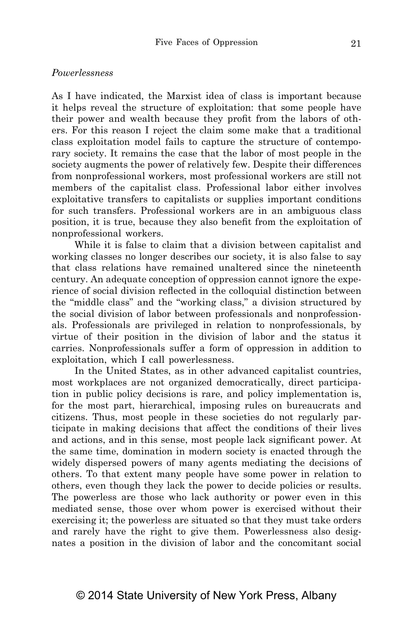#### *Powerlessness*

As I have indicated, the Marxist idea of class is important because it helps reveal the structure of exploitation: that some people have their power and wealth because they profit from the labors of others. For this reason I reject the claim some make that a traditional class exploitation model fails to capture the structure of contemporary society. It remains the case that the labor of most people in the society augments the power of relatively few. Despite their differences from nonprofessional workers, most professional workers are still not members of the capitalist class. Professional labor either involves exploitative transfers to capitalists or supplies important conditions for such transfers. Professional workers are in an ambiguous class position, it is true, because they also benefit from the exploitation of nonprofessional workers.

While it is false to claim that a division between capitalist and working classes no longer describes our society, it is also false to say that class relations have remained unaltered since the nineteenth century. An adequate conception of oppression cannot ignore the experience of social division reflected in the colloquial distinction between the "middle class" and the "working class," a division structured by the social division of labor between professionals and nonprofessionals. Professionals are privileged in relation to nonprofessionals, by virtue of their position in the division of labor and the status it carries. Nonprofessionals suffer a form of oppression in addition to exploitation, which I call powerlessness.

In the United States, as in other advanced capitalist countries, most workplaces are not organized democratically, direct participation in public policy decisions is rare, and policy implementation is, for the most part, hierarchical, imposing rules on bureaucrats and citizens. Thus, most people in these societies do not regularly participate in making decisions that affect the conditions of their lives and actions, and in this sense, most people lack significant power. At the same time, domination in modern society is enacted through the widely dispersed powers of many agents mediating the decisions of others. To that extent many people have some power in relation to others, even though they lack the power to decide policies or results. The powerless are those who lack authority or power even in this mediated sense, those over whom power is exercised without their exercising it; the powerless are situated so that they must take orders and rarely have the right to give them. Powerlessness also designates a position in the division of labor and the concomitant social